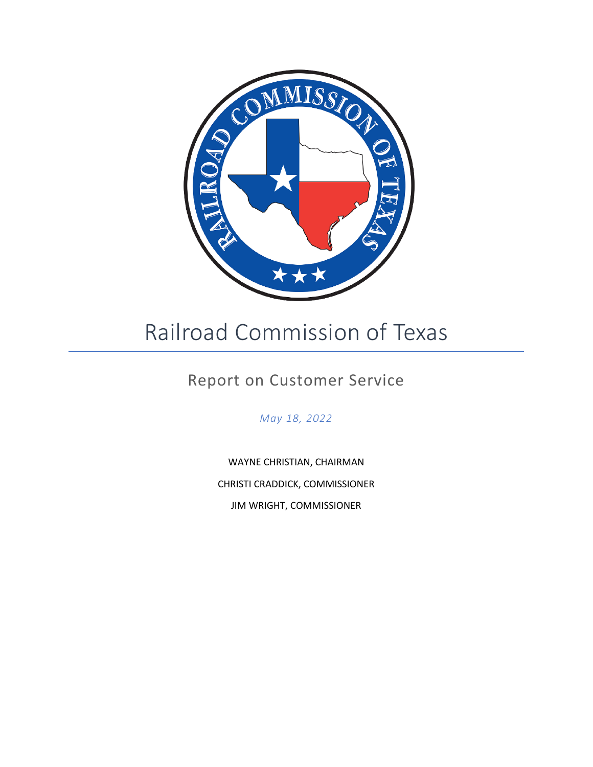

# Railroad Commission of Texas

# Report on Customer Service

*May 18, 2022*

WAYNE CHRISTIAN, CHAIRMAN CHRISTI CRADDICK, COMMISSIONER JIM WRIGHT, COMMISSIONER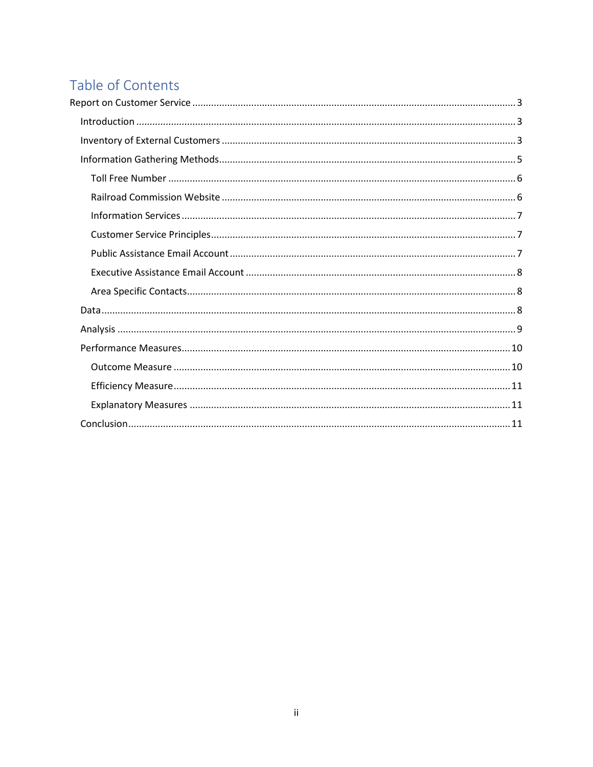# Table of Contents

<span id="page-1-0"></span>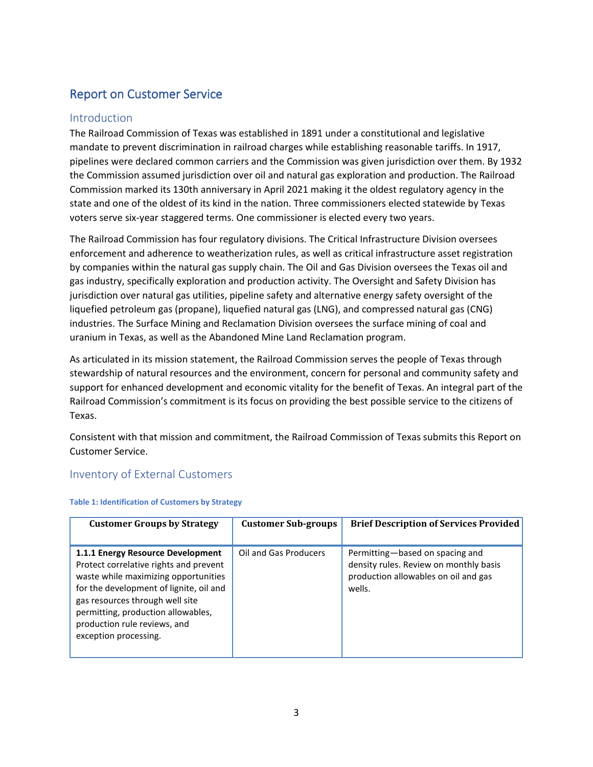# Report on Customer Service

# <span id="page-2-0"></span>Introduction

The Railroad Commission of Texas was established in 1891 under a constitutional and legislative mandate to prevent discrimination in railroad charges while establishing reasonable tariffs. In 1917, pipelines were declared common carriers and the Commission was given jurisdiction over them. By 1932 the Commission assumed jurisdiction over oil and natural gas exploration and production. The Railroad Commission marked its 130th anniversary in April 2021 making it the oldest regulatory agency in the state and one of the oldest of its kind in the nation. Three commissioners elected statewide by Texas voters serve six-year staggered terms. One commissioner is elected every two years.

The Railroad Commission has four regulatory divisions. The Critical Infrastructure Division oversees enforcement and adherence to weatherization rules, as well as critical infrastructure asset registration by companies within the natural gas supply chain. The Oil and Gas Division oversees the Texas oil and gas industry, specifically exploration and production activity. The Oversight and Safety Division has jurisdiction over natural gas utilities, pipeline safety and alternative energy safety oversight of the liquefied petroleum gas (propane), liquefied natural gas (LNG), and compressed natural gas (CNG) industries. The Surface Mining and Reclamation Division oversees the surface mining of coal and uranium in Texas, as well as the Abandoned Mine Land Reclamation program.

As articulated in its mission statement, the Railroad Commission serves the people of Texas through stewardship of natural resources and the environment, concern for personal and community safety and support for enhanced development and economic vitality for the benefit of Texas. An integral part of the Railroad Commission's commitment is its focus on providing the best possible service to the citizens of Texas.

Consistent with that mission and commitment, the Railroad Commission of Texas submits this Report on Customer Service.

# <span id="page-2-1"></span>Inventory of External Customers

| <b>Customer Groups by Strategy</b>                                                                                                                                                                                                                                                               | <b>Customer Sub-groups</b> | <b>Brief Description of Services Provided</b>                                                                               |
|--------------------------------------------------------------------------------------------------------------------------------------------------------------------------------------------------------------------------------------------------------------------------------------------------|----------------------------|-----------------------------------------------------------------------------------------------------------------------------|
| 1.1.1 Energy Resource Development<br>Protect correlative rights and prevent<br>waste while maximizing opportunities<br>for the development of lignite, oil and<br>gas resources through well site<br>permitting, production allowables,<br>production rule reviews, and<br>exception processing. | Oil and Gas Producers      | Permitting-based on spacing and<br>density rules. Review on monthly basis<br>production allowables on oil and gas<br>wells. |

#### **Table 1: Identification of Customers by Strategy**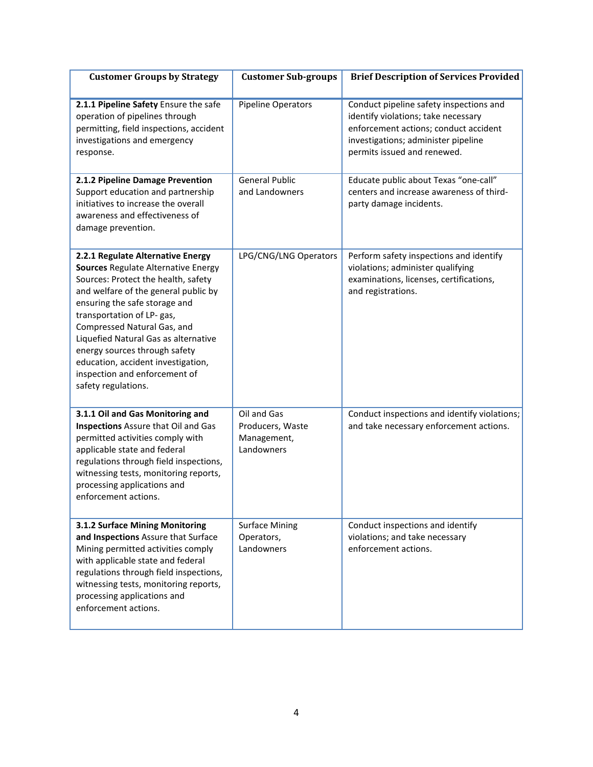| <b>Customer Groups by Strategy</b>                                                                                                                                                                                                                                                                                                                                                                                           | <b>Customer Sub-groups</b>                                   | <b>Brief Description of Services Provided</b>                                                                                                                                                 |
|------------------------------------------------------------------------------------------------------------------------------------------------------------------------------------------------------------------------------------------------------------------------------------------------------------------------------------------------------------------------------------------------------------------------------|--------------------------------------------------------------|-----------------------------------------------------------------------------------------------------------------------------------------------------------------------------------------------|
| 2.1.1 Pipeline Safety Ensure the safe<br>operation of pipelines through<br>permitting, field inspections, accident<br>investigations and emergency<br>response.                                                                                                                                                                                                                                                              | <b>Pipeline Operators</b>                                    | Conduct pipeline safety inspections and<br>identify violations; take necessary<br>enforcement actions; conduct accident<br>investigations; administer pipeline<br>permits issued and renewed. |
| 2.1.2 Pipeline Damage Prevention<br>Support education and partnership<br>initiatives to increase the overall<br>awareness and effectiveness of<br>damage prevention.                                                                                                                                                                                                                                                         | <b>General Public</b><br>and Landowners                      | Educate public about Texas "one-call"<br>centers and increase awareness of third-<br>party damage incidents.                                                                                  |
| 2.2.1 Regulate Alternative Energy<br>Sources Regulate Alternative Energy<br>Sources: Protect the health, safety<br>and welfare of the general public by<br>ensuring the safe storage and<br>transportation of LP- gas,<br>Compressed Natural Gas, and<br>Liquefied Natural Gas as alternative<br>energy sources through safety<br>education, accident investigation,<br>inspection and enforcement of<br>safety regulations. | LPG/CNG/LNG Operators                                        | Perform safety inspections and identify<br>violations; administer qualifying<br>examinations, licenses, certifications,<br>and registrations.                                                 |
| 3.1.1 Oil and Gas Monitoring and<br><b>Inspections</b> Assure that Oil and Gas<br>permitted activities comply with<br>applicable state and federal<br>regulations through field inspections,<br>witnessing tests, monitoring reports,<br>processing applications and<br>enforcement actions.                                                                                                                                 | Oil and Gas<br>Producers, Waste<br>Management,<br>Landowners | Conduct inspections and identify violations;<br>and take necessary enforcement actions.                                                                                                       |
| 3.1.2 Surface Mining Monitoring<br>and Inspections Assure that Surface<br>Mining permitted activities comply<br>with applicable state and federal<br>regulations through field inspections,<br>witnessing tests, monitoring reports,<br>processing applications and<br>enforcement actions.                                                                                                                                  | <b>Surface Mining</b><br>Operators,<br>Landowners            | Conduct inspections and identify<br>violations; and take necessary<br>enforcement actions.                                                                                                    |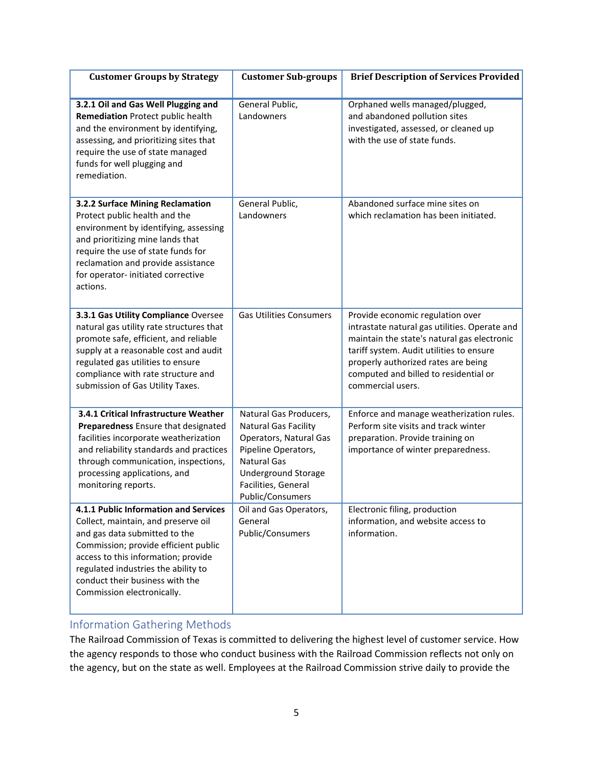| <b>Customer Groups by Strategy</b>                                                                                                                                                                                                                                                                   | <b>Customer Sub-groups</b>                                                                                                                                                                            | <b>Brief Description of Services Provided</b>                                                                                                                                                                                                                                     |
|------------------------------------------------------------------------------------------------------------------------------------------------------------------------------------------------------------------------------------------------------------------------------------------------------|-------------------------------------------------------------------------------------------------------------------------------------------------------------------------------------------------------|-----------------------------------------------------------------------------------------------------------------------------------------------------------------------------------------------------------------------------------------------------------------------------------|
| 3.2.1 Oil and Gas Well Plugging and<br>Remediation Protect public health<br>and the environment by identifying,<br>assessing, and prioritizing sites that<br>require the use of state managed<br>funds for well plugging and<br>remediation.                                                         | General Public,<br>Landowners                                                                                                                                                                         | Orphaned wells managed/plugged,<br>and abandoned pollution sites<br>investigated, assessed, or cleaned up<br>with the use of state funds.                                                                                                                                         |
| 3.2.2 Surface Mining Reclamation<br>Protect public health and the<br>environment by identifying, assessing<br>and prioritizing mine lands that<br>require the use of state funds for<br>reclamation and provide assistance<br>for operator- initiated corrective<br>actions.                         | General Public,<br>Landowners                                                                                                                                                                         | Abandoned surface mine sites on<br>which reclamation has been initiated.                                                                                                                                                                                                          |
| 3.3.1 Gas Utility Compliance Oversee<br>natural gas utility rate structures that<br>promote safe, efficient, and reliable<br>supply at a reasonable cost and audit<br>regulated gas utilities to ensure<br>compliance with rate structure and<br>submission of Gas Utility Taxes.                    | <b>Gas Utilities Consumers</b>                                                                                                                                                                        | Provide economic regulation over<br>intrastate natural gas utilities. Operate and<br>maintain the state's natural gas electronic<br>tariff system. Audit utilities to ensure<br>properly authorized rates are being<br>computed and billed to residential or<br>commercial users. |
| 3.4.1 Critical Infrastructure Weather<br>Preparedness Ensure that designated<br>facilities incorporate weatherization<br>and reliability standards and practices<br>through communication, inspections,<br>processing applications, and<br>monitoring reports.                                       | Natural Gas Producers,<br><b>Natural Gas Facility</b><br>Operators, Natural Gas<br>Pipeline Operators,<br><b>Natural Gas</b><br><b>Underground Storage</b><br>Facilities, General<br>Public/Consumers | Enforce and manage weatherization rules.<br>Perform site visits and track winter<br>preparation. Provide training on<br>importance of winter preparedness.                                                                                                                        |
| 4.1.1 Public Information and Services<br>Collect, maintain, and preserve oil<br>and gas data submitted to the<br>Commission; provide efficient public<br>access to this information; provide<br>regulated industries the ability to<br>conduct their business with the<br>Commission electronically. | Oil and Gas Operators,<br>General<br>Public/Consumers                                                                                                                                                 | Electronic filing, production<br>information, and website access to<br>information.                                                                                                                                                                                               |

# <span id="page-4-0"></span>Information Gathering Methods

The Railroad Commission of Texas is committed to delivering the highest level of customer service. How the agency responds to those who conduct business with the Railroad Commission reflects not only on the agency, but on the state as well. Employees at the Railroad Commission strive daily to provide the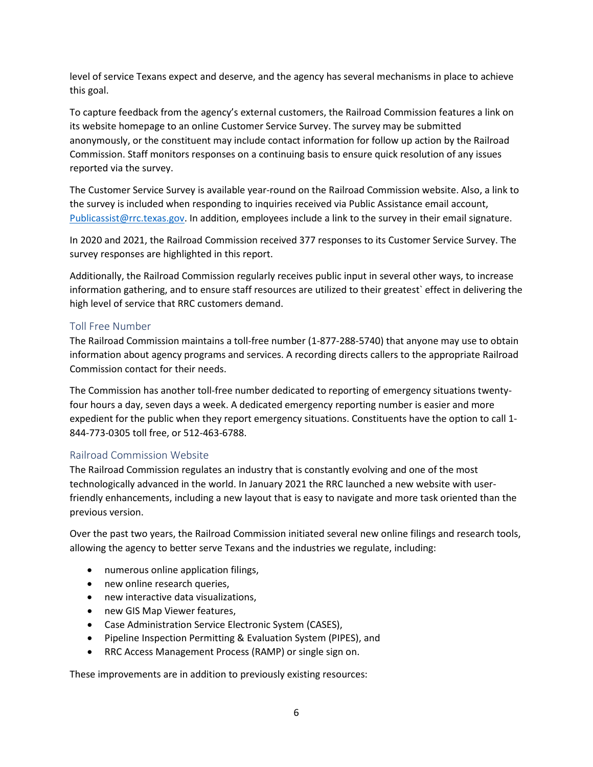level of service Texans expect and deserve, and the agency has several mechanisms in place to achieve this goal.

To capture feedback from the agency's external customers, the Railroad Commission features a link on its website homepage to an online Customer Service Survey. The survey may be submitted anonymously, or the constituent may include contact information for follow up action by the Railroad Commission. Staff monitors responses on a continuing basis to ensure quick resolution of any issues reported via the survey.

The Customer Service Survey is available year-round on the Railroad Commission website. Also, a link to the survey is included when responding to inquiries received via Public Assistance email account, [Publicassist@rrc.texas.gov.](mailto:Publicassist@rrc.texas.gov) In addition, employees include a link to the survey in their email signature.

In 2020 and 2021, the Railroad Commission received 377 responses to its Customer Service Survey. The survey responses are highlighted in this report.

Additionally, the Railroad Commission regularly receives public input in several other ways, to increase information gathering, and to ensure staff resources are utilized to their greatest` effect in delivering the high level of service that RRC customers demand.

## <span id="page-5-0"></span>Toll Free Number

The Railroad Commission maintains a toll-free number (1-877-288-5740) that anyone may use to obtain information about agency programs and services. A recording directs callers to the appropriate Railroad Commission contact for their needs.

The Commission has another toll-free number dedicated to reporting of emergency situations twentyfour hours a day, seven days a week. A dedicated emergency reporting number is easier and more expedient for the public when they report emergency situations. Constituents have the option to call 1- 844-773-0305 toll free, or 512-463-6788.

# <span id="page-5-1"></span>Railroad Commission Website

The Railroad Commission regulates an industry that is constantly evolving and one of the most technologically advanced in the world. In January 2021 the RRC launched a new website with userfriendly enhancements, including a new layout that is easy to navigate and more task oriented than the previous version.

Over the past two years, the Railroad Commission initiated several new online filings and research tools, allowing the agency to better serve Texans and the industries we regulate, including:

- numerous online application filings,
- new online research queries,
- new interactive data visualizations,
- new GIS Map Viewer features,
- Case Administration Service Electronic System (CASES),
- Pipeline Inspection Permitting & Evaluation System (PIPES), and
- RRC Access Management Process (RAMP) or single sign on.

These improvements are in addition to previously existing resources: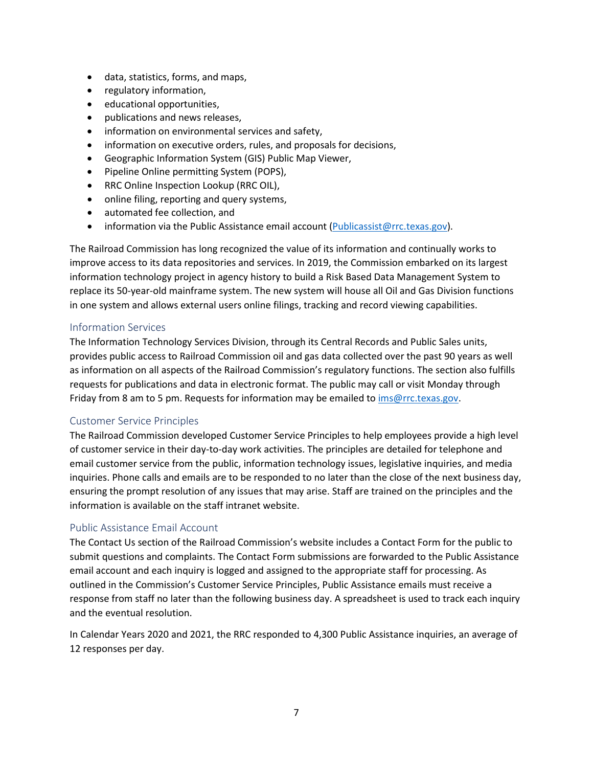- data, statistics, forms, and maps,
- regulatory information,
- educational opportunities,
- publications and news releases,
- information on environmental services and safety,
- information on executive orders, rules, and proposals for decisions,
- Geographic Information System (GIS) Public Map Viewer,
- Pipeline Online permitting System (POPS),
- RRC Online Inspection Lookup (RRC OIL),
- online filing, reporting and query systems,
- automated fee collection, and
- information via the Public Assistance email account [\(Publicassist@rrc.texas.gov\)](mailto:Publicassist@rrc.texas.gov).

The Railroad Commission has long recognized the value of its information and continually works to improve access to its data repositories and services. In 2019, the Commission embarked on its largest information technology project in agency history to build a Risk Based Data Management System to replace its 50-year-old mainframe system. The new system will house all Oil and Gas Division functions in one system and allows external users online filings, tracking and record viewing capabilities.

## <span id="page-6-0"></span>Information Services

The Information Technology Services Division, through its Central Records and Public Sales units, provides public access to Railroad Commission oil and gas data collected over the past 90 years as well as information on all aspects of the Railroad Commission's regulatory functions. The section also fulfills requests for publications and data in electronic format. The public may call or visit Monday through Friday from 8 am to 5 pm. Requests for information may be emailed t[o ims@rrc.texas.gov.](mailto:ims@rrc.texas.gov)

#### <span id="page-6-1"></span>Customer Service Principles

The Railroad Commission developed Customer Service Principles to help employees provide a high level of customer service in their day-to-day work activities. The principles are detailed for telephone and email customer service from the public, information technology issues, legislative inquiries, and media inquiries. Phone calls and emails are to be responded to no later than the close of the next business day, ensuring the prompt resolution of any issues that may arise. Staff are trained on the principles and the information is available on the staff intranet website.

#### <span id="page-6-2"></span>Public Assistance Email Account

The Contact Us section of the Railroad Commission's website includes a Contact Form for the public to submit questions and complaints. The Contact Form submissions are forwarded to the Public Assistance email account and each inquiry is logged and assigned to the appropriate staff for processing. As outlined in the Commission's Customer Service Principles, Public Assistance emails must receive a response from staff no later than the following business day. A spreadsheet is used to track each inquiry and the eventual resolution.

In Calendar Years 2020 and 2021, the RRC responded to 4,300 Public Assistance inquiries, an average of 12 responses per day.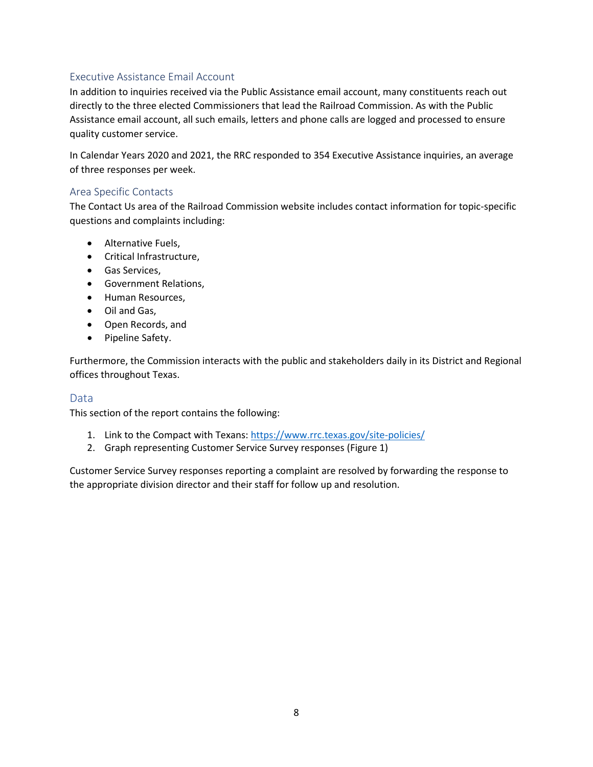# <span id="page-7-0"></span>Executive Assistance Email Account

In addition to inquiries received via the Public Assistance email account, many constituents reach out directly to the three elected Commissioners that lead the Railroad Commission. As with the Public Assistance email account, all such emails, letters and phone calls are logged and processed to ensure quality customer service.

In Calendar Years 2020 and 2021, the RRC responded to 354 Executive Assistance inquiries, an average of three responses per week.

## <span id="page-7-1"></span>Area Specific Contacts

The Contact Us area of the Railroad Commission website includes contact information for topic-specific questions and complaints including:

- Alternative Fuels,
- Critical Infrastructure,
- Gas Services,
- Government Relations,
- Human Resources,
- Oil and Gas,
- Open Records, and
- Pipeline Safety.

Furthermore, the Commission interacts with the public and stakeholders daily in its District and Regional offices throughout Texas.

# <span id="page-7-2"></span>Data

This section of the report contains the following:

- 1. Link to the Compact with Texans:<https://www.rrc.texas.gov/site-policies/>
- 2. Graph representing Customer Service Survey responses (Figure 1)

Customer Service Survey responses reporting a complaint are resolved by forwarding the response to the appropriate division director and their staff for follow up and resolution.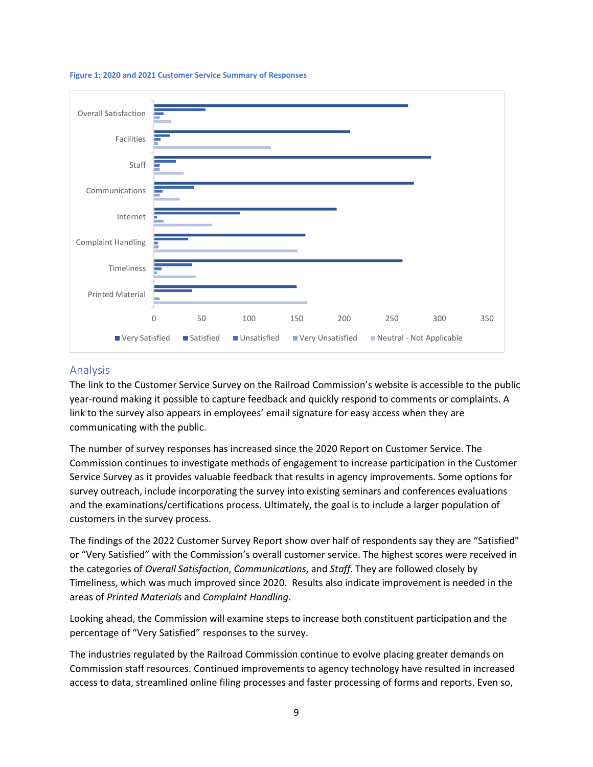

#### **Figure 1: 2020 and 2021 Customer Service Summary of Responses**

#### <span id="page-8-0"></span>Analysis

The link to the Customer Service Survey on the Railroad Commission's website is accessible to the public year-round making it possible to capture feedback and quickly respond to comments or complaints. A link to the survey also appears in employees' email signature for easy access when they are communicating with the public.

The number of survey responses has increased since the 2020 Report on Customer Service. The Commission continues to investigate methods of engagement to increase participation in the Customer Service Survey as it provides valuable feedback that results in agency improvements. Some options for survey outreach, include incorporating the survey into existing seminars and conferences evaluations and the examinations/certifications process. Ultimately, the goal is to include a larger population of customers in the survey process.

The findings of the 2022 Customer Survey Report show over half of respondents say they are "Satisfied" or "Very Satisfied" with the Commission's overall customer service. The highest scores were received in the categories of *Overall Satisfaction*, *Communications*, and *Staff*. They are followed closely by Timeliness, which was much improved since 2020. Results also indicate improvement is needed in the areas of *Printed Materials* and *Complaint Handling*.

Looking ahead, the Commission will examine steps to increase both constituent participation and the percentage of "Very Satisfied" responses to the survey.

The industries regulated by the Railroad Commission continue to evolve placing greater demands on Commission staff resources. Continued improvements to agency technology have resulted in increased access to data, streamlined online filing processes and faster processing of forms and reports. Even so,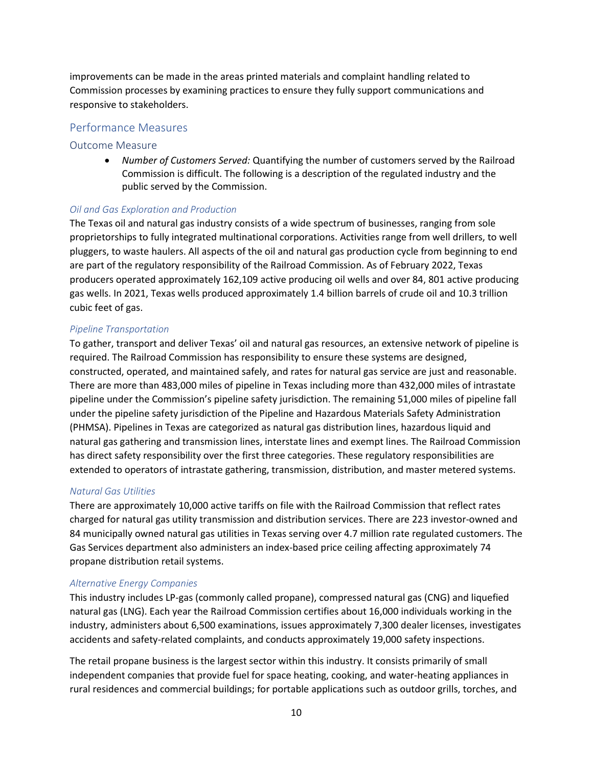improvements can be made in the areas printed materials and complaint handling related to Commission processes by examining practices to ensure they fully support communications and responsive to stakeholders.

#### <span id="page-9-0"></span>Performance Measures

#### <span id="page-9-1"></span>Outcome Measure

• *Number of Customers Served:* Quantifying the number of customers served by the Railroad Commission is difficult. The following is a description of the regulated industry and the public served by the Commission.

#### *Oil and Gas Exploration and Production*

The Texas oil and natural gas industry consists of a wide spectrum of businesses, ranging from sole proprietorships to fully integrated multinational corporations. Activities range from well drillers, to well pluggers, to waste haulers. All aspects of the oil and natural gas production cycle from beginning to end are part of the regulatory responsibility of the Railroad Commission. As of February 2022, Texas producers operated approximately 162,109 active producing oil wells and over 84, 801 active producing gas wells. In 2021, Texas wells produced approximately 1.4 billion barrels of crude oil and 10.3 trillion cubic feet of gas.

#### *Pipeline Transportation*

To gather, transport and deliver Texas' oil and natural gas resources, an extensive network of pipeline is required. The Railroad Commission has responsibility to ensure these systems are designed, constructed, operated, and maintained safely, and rates for natural gas service are just and reasonable. There are more than 483,000 miles of pipeline in Texas including more than 432,000 miles of intrastate pipeline under the Commission's pipeline safety jurisdiction. The remaining 51,000 miles of pipeline fall under the pipeline safety jurisdiction of the Pipeline and Hazardous Materials Safety Administration (PHMSA). Pipelines in Texas are categorized as natural gas distribution lines, hazardous liquid and natural gas gathering and transmission lines, interstate lines and exempt lines. The Railroad Commission has direct safety responsibility over the first three categories. These regulatory responsibilities are extended to operators of intrastate gathering, transmission, distribution, and master metered systems.

#### *Natural Gas Utilities*

There are approximately 10,000 active tariffs on file with the Railroad Commission that reflect rates charged for natural gas utility transmission and distribution services. There are 223 investor-owned and 84 municipally owned natural gas utilities in Texas serving over 4.7 million rate regulated customers. The Gas Services department also administers an index-based price ceiling affecting approximately 74 propane distribution retail systems.

#### *Alternative Energy Companies*

This industry includes LP-gas (commonly called propane), compressed natural gas (CNG) and liquefied natural gas (LNG). Each year the Railroad Commission certifies about 16,000 individuals working in the industry, administers about 6,500 examinations, issues approximately 7,300 dealer licenses, investigates accidents and safety-related complaints, and conducts approximately 19,000 safety inspections.

The retail propane business is the largest sector within this industry. It consists primarily of small independent companies that provide fuel for space heating, cooking, and water-heating appliances in rural residences and commercial buildings; for portable applications such as outdoor grills, torches, and